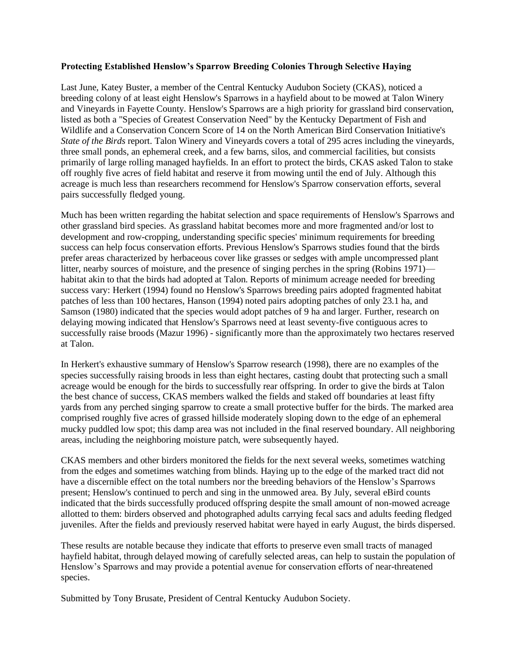## **Protecting Established Henslow's Sparrow Breeding Colonies Through Selective Haying**

Last June, Katey Buster, a member of the Central Kentucky Audubon Society (CKAS), noticed a breeding colony of at least eight Henslow's Sparrows in a hayfield about to be mowed at Talon Winery and Vineyards in Fayette County. Henslow's Sparrows are a high priority for grassland bird conservation, listed as both a "Species of Greatest Conservation Need" by the Kentucky Department of Fish and Wildlife and a Conservation Concern Score of 14 on the North American Bird Conservation Initiative's *State of the Birds* report. Talon Winery and Vineyards covers a total of 295 acres including the vineyards, three small ponds, an ephemeral creek, and a few barns, silos, and commercial facilities, but consists primarily of large rolling managed hayfields. In an effort to protect the birds, CKAS asked Talon to stake off roughly five acres of field habitat and reserve it from mowing until the end of July. Although this acreage is much less than researchers recommend for Henslow's Sparrow conservation efforts, several pairs successfully fledged young.

Much has been written regarding the habitat selection and space requirements of Henslow's Sparrows and other grassland bird species. As grassland habitat becomes more and more fragmented and/or lost to development and row-cropping, understanding specific species' minimum requirements for breeding success can help focus conservation efforts. Previous Henslow's Sparrows studies found that the birds prefer areas characterized by herbaceous cover like grasses or sedges with ample uncompressed plant litter, nearby sources of moisture, and the presence of singing perches in the spring (Robins 1971) habitat akin to that the birds had adopted at Talon. Reports of minimum acreage needed for breeding success vary: Herkert (1994) found no Henslow's Sparrows breeding pairs adopted fragmented habitat patches of less than 100 hectares, Hanson (1994) noted pairs adopting patches of only 23.1 ha, and Samson (1980) indicated that the species would adopt patches of 9 ha and larger. Further, research on delaying mowing indicated that Henslow's Sparrows need at least seventy-five contiguous acres to successfully raise broods (Mazur 1996) - significantly more than the approximately two hectares reserved at Talon.

In Herkert's exhaustive summary of Henslow's Sparrow research (1998), there are no examples of the species successfully raising broods in less than eight hectares, casting doubt that protecting such a small acreage would be enough for the birds to successfully rear offspring. In order to give the birds at Talon the best chance of success, CKAS members walked the fields and staked off boundaries at least fifty yards from any perched singing sparrow to create a small protective buffer for the birds. The marked area comprised roughly five acres of grassed hillside moderately sloping down to the edge of an ephemeral mucky puddled low spot; this damp area was not included in the final reserved boundary. All neighboring areas, including the neighboring moisture patch, were subsequently hayed.

CKAS members and other birders monitored the fields for the next several weeks, sometimes watching from the edges and sometimes watching from blinds. Haying up to the edge of the marked tract did not have a discernible effect on the total numbers nor the breeding behaviors of the Henslow's Sparrows present; Henslow's continued to perch and sing in the unmowed area. By July, several eBird counts indicated that the birds successfully produced offspring despite the small amount of non-mowed acreage allotted to them: birders observed and photographed adults carrying fecal sacs and adults feeding fledged juveniles. After the fields and previously reserved habitat were hayed in early August, the birds dispersed.

These results are notable because they indicate that efforts to preserve even small tracts of managed hayfield habitat, through delayed mowing of carefully selected areas, can help to sustain the population of Henslow's Sparrows and may provide a potential avenue for conservation efforts of near-threatened species.

Submitted by Tony Brusate, President of Central Kentucky Audubon Society.